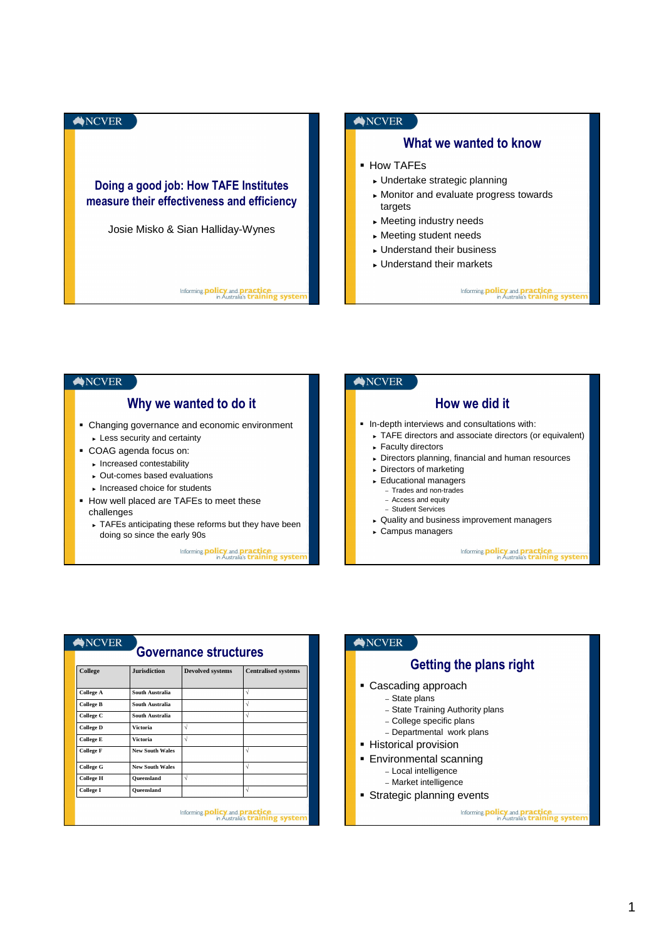



| $\bigtriangleup$ NCVER                                                                                                  |                                                                                                                       |        |                                                                                         |  | $\bigtriangleup$ NCVER                                                                                                                                                         |  |  |  |
|-------------------------------------------------------------------------------------------------------------------------|-----------------------------------------------------------------------------------------------------------------------|--------|-----------------------------------------------------------------------------------------|--|--------------------------------------------------------------------------------------------------------------------------------------------------------------------------------|--|--|--|
| <b>Governance structures</b><br>College<br><b>Jurisdiction</b><br><b>Devolved systems</b><br><b>Centralised systems</b> |                                                                                                                       |        |                                                                                         |  | Getting the plans right                                                                                                                                                        |  |  |  |
| <b>College A</b><br><b>College B</b><br>College C<br><b>College D</b><br><b>College E</b><br><b>College F</b>           | South Australia<br>South Australia<br>South Australia<br><b>Victoria</b><br><b>Victoria</b><br><b>New South Wales</b> | ν<br>ν | V<br>V<br>ν                                                                             |  | • Cascading approach<br>- State plans<br>- State Training Authority plans<br>- College specific plans<br>- Departmental work plans<br>- Historical provision                   |  |  |  |
| <b>College G</b><br><b>College H</b><br><b>College I</b>                                                                | <b>New South Wales</b><br>Oueensland<br>Oueensland                                                                    | Ν      | N<br>V<br>Informing <b>policy and practice</b><br>in Australia's <b>training system</b> |  | • Environmental scanning<br>- Local intelligence<br>- Market intelligence<br>• Strategic planning events<br>Informing <b>policy</b> and <b>pract</b> in Australia's <b>tra</b> |  |  |  |

| $\bigotimes$ NCVER |  |
|--------------------|--|
|--------------------|--|

| Getting the plans right |  |  |  |
|-------------------------|--|--|--|
| adina annroach          |  |  |  |

- Cascading approach – State plans
	- State Training Authority plans
	- College specific plans
	- Departmental work plans
	-
- **Historical provision**
- **Environmental scanning** 
	- Local intelligence – Market intelligence
- **Strategic planning events**

Informing **policy** and **practice**<br>in Australia's **training system**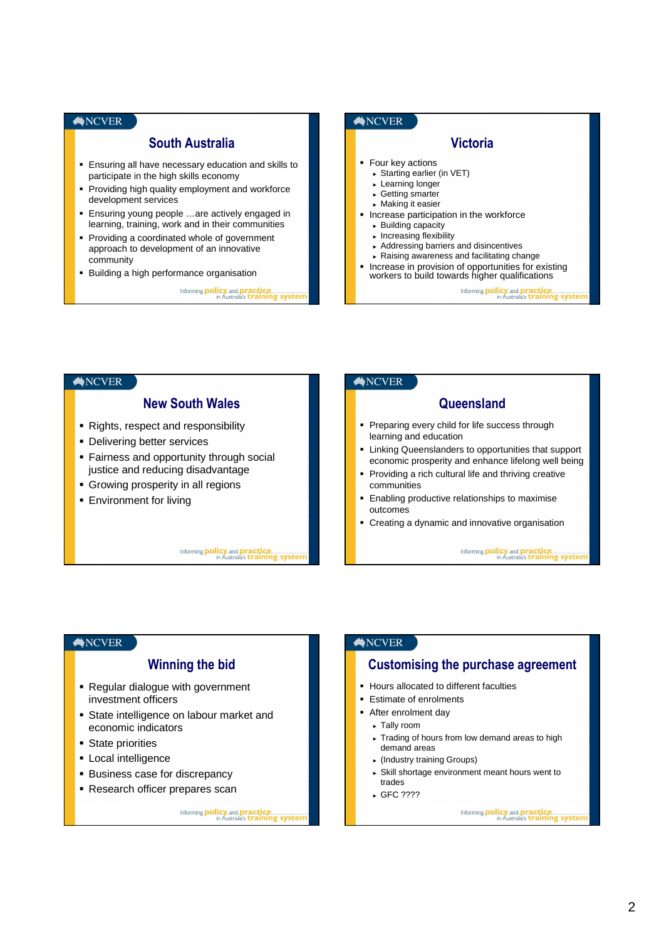# **NCVER** South Australia **Ensuring all have necessary education and skills to** participate in the high skills economy **Providing high quality employment and workforce** development services Ensuring young people …are actively engaged in learning, training, work and in their communities **Providing a coordinated whole of government** approach to development of an innovative community **Building a high performance organisation** Informing **policy** and **practice**<br>in Australia's **training system**



#### **NCVER NCVER** New South Wales **Queensland** • Rights, respect and responsibility Preparing every child for life success through learning and education **Delivering better services EXTER** Linking Queenslanders to opportunities that support **Fairness and opportunity through social** economic prosperity and enhance lifelong well being justice and reducing disadvantage **Providing a rich cultural life and thriving creative**  Growing prosperity in all regions communities **Enabling productive relationships to maximise Environment for living** outcomes Creating a dynamic and innovative organisation Informing **policy** and **practice**<br>in Australia's **training system** Informing **policy** and **practice**<br>in Australia's **training syster**

### ANCVER

# Winning the bid

- Regular dialogue with government investment officers
- State intelligence on labour market and economic indicators
- **State priorities**
- **Local intelligence**
- **Business case for discrepancy**
- Research officer prepares scan

# Informing **policy** and **practice**<br>in Australia's **training system**

### **NCVER**

# Customising the purchase agreement

- **Hours allocated to different faculties**
- Estimate of enrolments
- **After enrolment day** 
	- ► Tally room
	- ► Trading of hours from low demand areas to high demand areas
	- ► (Industry training Groups)
	- ► Skill shortage environment meant hours went to trades
	- ► GFC ????

Informing **policy** and **practice**<br>in Australia's **training system**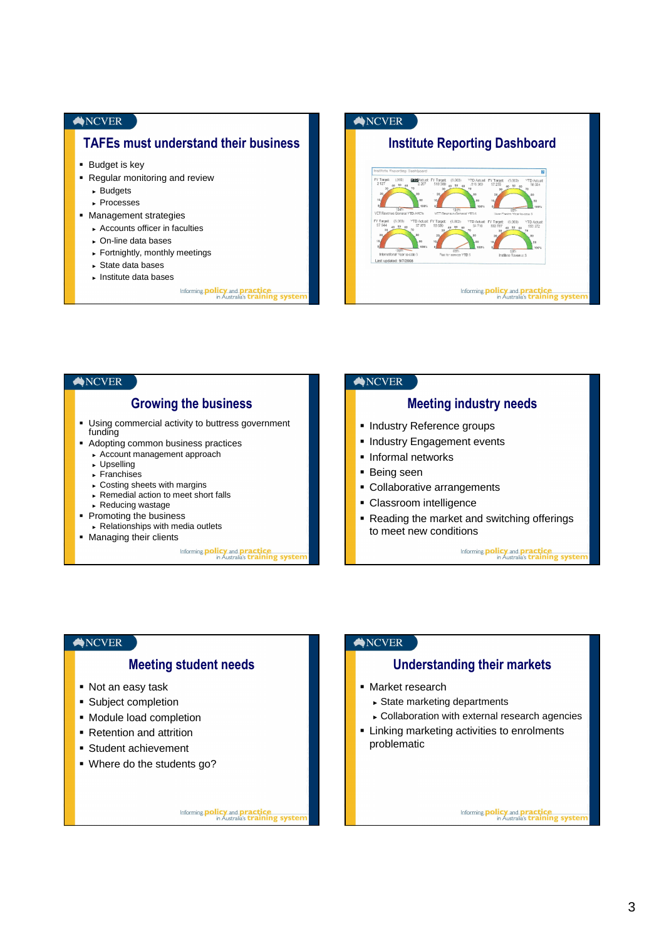#### **NCVER**

# TAFEs must understand their business

- **Budget is key**
- Regular monitoring and review
	- ► Budgets
	- ► Processes
- **Management strategies** 
	- ► Accounts officer in faculties
	- ► On-line data bases
	- ► Fortnightly, monthly meetings
	- ► State data bases
	- ► Institute data bases
		- Informing **policy** and **practice**<br>in Australia's **training system**



#### **NCVER NCVER** Growing the business Meeting industry needs Using commercial activity to buttress government **Industry Reference groups** funding **Industry Engagement events**  Adopting common business practices ► Account management approach **Informal networks** ► Upselling **Being seen** ► Franchises ► Costing sheets with margins Collaborative arrangements ► Remedial action to meet short falls • Classroom intelligence ► Reducing wastage • Promoting the business Reading the market and switching offerings ► Relationships with media outlets to meet new conditions **Managing their clients** Informing **policy** and **practice**<br>in Australia's **training system** Informing **policy** and **practice**<br>in Australia's **training system**

#### $\bigtriangleup$ NCVER

## Meeting student needs

- Not an easy task
- **Subject completion**
- Module load completion
- Retention and attrition
- Student achievement
- Where do the students go?

Informing **policy** and **practice**<br>in Australia's **training syster** 

### ANCVER

## Understanding their markets

- **Market research** 
	- ► State marketing departments
	- ► Collaboration with external research agencies
- **EXTERNITHETHETH Linking marketing activities to enrolments** problematic

Informing **policy** and **practice**<br>in Australia's **training system**